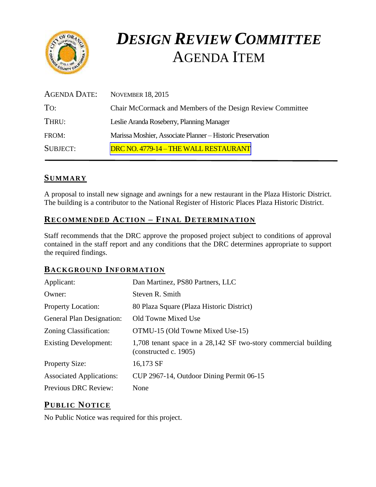

# *DESIGN REVIEW COMMITTEE*  AGENDA ITEM

| AGENDA DATE:    | <b>NOVEMBER 18, 2015</b>                                   |
|-----------------|------------------------------------------------------------|
| To:             | Chair McCormack and Members of the Design Review Committee |
| THRU:           | Leslie Aranda Roseberry, Planning Manager                  |
| FROM:           | Marissa Moshier, Associate Planner - Historic Preservation |
| <b>SUBJECT:</b> | DRC NO. 4779-14 - THE WALL RESTAURANT                      |

## **SUMMARY**

A proposal to install new signage and awnings for a new restaurant in the Plaza Historic District. The building is a contributor to the National Register of Historic Places Plaza Historic District.

# **RECOMMENDED ACTION – FINAL DETERMINATION**

Staff recommends that the DRC approve the proposed project subject to conditions of approval contained in the staff report and any conditions that the DRC determines appropriate to support the required findings.

## **BACKGROUND INFORMATION**

| Applicant:                       | Dan Martinez, PS80 Partners, LLC                                                         |
|----------------------------------|------------------------------------------------------------------------------------------|
| Owner:                           | Steven R. Smith                                                                          |
| <b>Property Location:</b>        | 80 Plaza Square (Plaza Historic District)                                                |
| <b>General Plan Designation:</b> | Old Towne Mixed Use                                                                      |
| Zoning Classification:           | OTMU-15 (Old Towne Mixed Use-15)                                                         |
| <b>Existing Development:</b>     | 1,708 tenant space in a 28,142 SF two-story commercial building<br>(constructed c. 1905) |
| <b>Property Size:</b>            | 16,173 SF                                                                                |
| <b>Associated Applications:</b>  | CUP 2967-14, Outdoor Dining Permit 06-15                                                 |
| Previous DRC Review:             | None                                                                                     |

## **PUB LIC NOTICE**

No Public Notice was required for this project.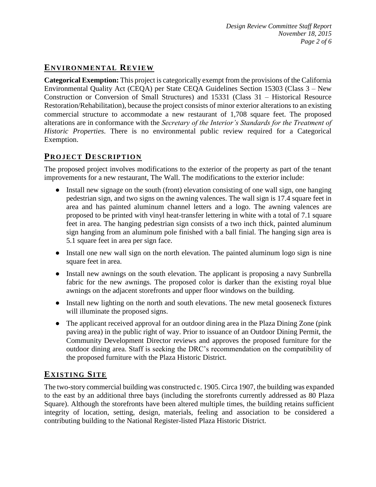# **ENVIRONMENTAL REVIEW**

**Categorical Exemption:** This project is categorically exempt from the provisions of the California Environmental Quality Act (CEQA) per State CEQA Guidelines Section 15303 (Class 3 – New Construction or Conversion of Small Structures) and 15331 (Class 31 – Historical Resource Restoration/Rehabilitation), because the project consists of minor exterior alterations to an existing commercial structure to accommodate a new restaurant of 1,708 square feet. The proposed alterations are in conformance with the *Secretary of the Interior's Standards for the Treatment of Historic Properties*. There is no environmental public review required for a Categorical Exemption.

## **PROJECT DESCRIP TION**

The proposed project involves modifications to the exterior of the property as part of the tenant improvements for a new restaurant, The Wall. The modifications to the exterior include:

- Install new signage on the south (front) elevation consisting of one wall sign, one hanging pedestrian sign, and two signs on the awning valences. The wall sign is 17.4 square feet in area and has painted aluminum channel letters and a logo. The awning valences are proposed to be printed with vinyl heat-transfer lettering in white with a total of 7.1 square feet in area. The hanging pedestrian sign consists of a two inch thick, painted aluminum sign hanging from an aluminum pole finished with a ball finial. The hanging sign area is 5.1 square feet in area per sign face.
- Install one new wall sign on the north elevation. The painted aluminum logo sign is nine square feet in area.
- Install new awnings on the south elevation. The applicant is proposing a navy Sunbrella fabric for the new awnings. The proposed color is darker than the existing royal blue awnings on the adjacent storefronts and upper floor windows on the building.
- Install new lighting on the north and south elevations. The new metal gooseneck fixtures will illuminate the proposed signs.
- The applicant received approval for an outdoor dining area in the Plaza Dining Zone (pink) paving area) in the public right of way. Prior to issuance of an Outdoor Dining Permit, the Community Development Director reviews and approves the proposed furniture for the outdoor dining area. Staff is seeking the DRC's recommendation on the compatibility of the proposed furniture with the Plaza Historic District.

# **EXISTING SITE**

The two-story commercial building was constructed c. 1905. Circa 1907, the building was expanded to the east by an additional three bays (including the storefronts currently addressed as 80 Plaza Square). Although the storefronts have been altered multiple times, the building retains sufficient integrity of location, setting, design, materials, feeling and association to be considered a contributing building to the National Register-listed Plaza Historic District.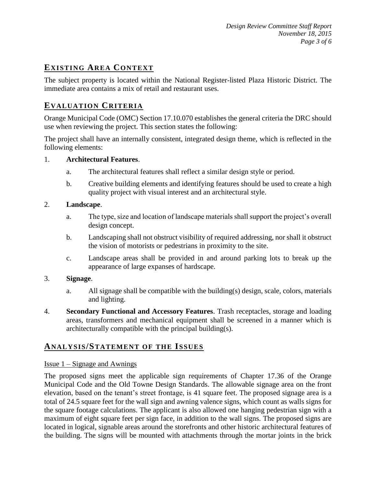# **EXISTING AREA CONTEXT**

The subject property is located within the National Register-listed Plaza Historic District. The immediate area contains a mix of retail and restaurant uses.

## **EVALUATION CRITERIA**

Orange Municipal Code (OMC) Section 17.10.070 establishes the general criteria the DRC should use when reviewing the project. This section states the following:

The project shall have an internally consistent, integrated design theme, which is reflected in the following elements:

#### 1. **Architectural Features**.

- a. The architectural features shall reflect a similar design style or period.
- b. Creative building elements and identifying features should be used to create a high quality project with visual interest and an architectural style.

#### 2. **Landscape**.

- a. The type, size and location of landscape materials shall support the project's overall design concept.
- b. Landscaping shall not obstruct visibility of required addressing, nor shall it obstruct the vision of motorists or pedestrians in proximity to the site.
- c. Landscape areas shall be provided in and around parking lots to break up the appearance of large expanses of hardscape.

#### 3. **Signage**.

- a. All signage shall be compatible with the building(s) design, scale, colors, materials and lighting.
- 4. **Secondary Functional and Accessory Features**. Trash receptacles, storage and loading areas, transformers and mechanical equipment shall be screened in a manner which is architecturally compatible with the principal building(s).

## **ANALY SIS/STATEMENT OF THE ISSUES**

#### Issue 1 – Signage and Awnings

The proposed signs meet the applicable sign requirements of Chapter 17.36 of the Orange Municipal Code and the Old Towne Design Standards. The allowable signage area on the front elevation, based on the tenant's street frontage, is 41 square feet. The proposed signage area is a total of 24.5 square feet for the wall sign and awning valence signs, which count as walls signs for the square footage calculations. The applicant is also allowed one hanging pedestrian sign with a maximum of eight square feet per sign face, in addition to the wall signs. The proposed signs are located in logical, signable areas around the storefronts and other historic architectural features of the building. The signs will be mounted with attachments through the mortar joints in the brick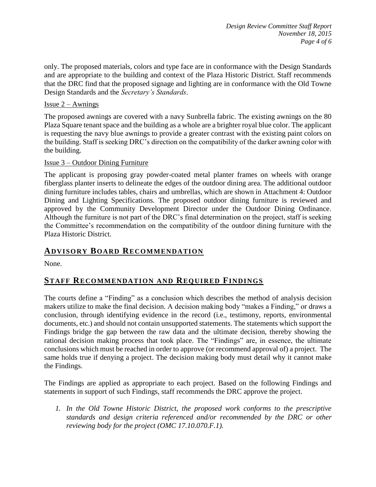only. The proposed materials, colors and type face are in conformance with the Design Standards and are appropriate to the building and context of the Plaza Historic District. Staff recommends that the DRC find that the proposed signage and lighting are in conformance with the Old Towne Design Standards and the *Secretary's Standards*.

#### Issue  $2 -$  Awnings

The proposed awnings are covered with a navy Sunbrella fabric. The existing awnings on the 80 Plaza Square tenant space and the building as a whole are a brighter royal blue color. The applicant is requesting the navy blue awnings to provide a greater contrast with the existing paint colors on the building. Staff is seeking DRC's direction on the compatibility of the darker awning color with the building.

#### Issue 3 – Outdoor Dining Furniture

The applicant is proposing gray powder-coated metal planter frames on wheels with orange fiberglass planter inserts to delineate the edges of the outdoor dining area. The additional outdoor dining furniture includes tables, chairs and umbrellas, which are shown in Attachment 4: Outdoor Dining and Lighting Specifications. The proposed outdoor dining furniture is reviewed and approved by the Community Development Director under the Outdoor Dining Ordinance. Although the furniture is not part of the DRC's final determination on the project, staff is seeking the Committee's recommendation on the compatibility of the outdoor dining furniture with the Plaza Historic District.

### **ADVISORY BOARD RECOMMENDATION**

None.

## **STAFF RECOMMENDATION AND REQUIRED FINDINGS**

The courts define a "Finding" as a conclusion which describes the method of analysis decision makers utilize to make the final decision. A decision making body "makes a Finding," or draws a conclusion, through identifying evidence in the record (i.e., testimony, reports, environmental documents, etc.) and should not contain unsupported statements. The statements which support the Findings bridge the gap between the raw data and the ultimate decision, thereby showing the rational decision making process that took place. The "Findings" are, in essence, the ultimate conclusions which must be reached in order to approve (or recommend approval of) a project. The same holds true if denying a project. The decision making body must detail why it cannot make the Findings.

The Findings are applied as appropriate to each project. Based on the following Findings and statements in support of such Findings, staff recommends the DRC approve the project.

*1. In the Old Towne Historic District, the proposed work conforms to the prescriptive standards and design criteria referenced and/or recommended by the DRC or other reviewing body for the project (OMC 17.10.070.F.1).*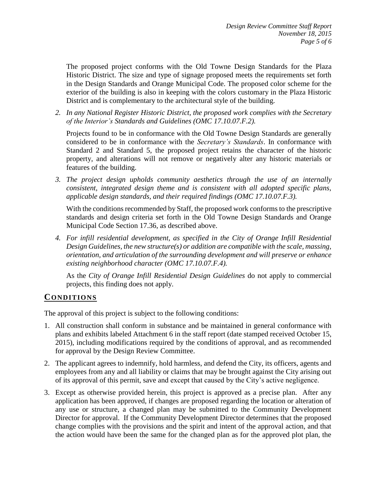The proposed project conforms with the Old Towne Design Standards for the Plaza Historic District. The size and type of signage proposed meets the requirements set forth in the Design Standards and Orange Municipal Code. The proposed color scheme for the exterior of the building is also in keeping with the colors customary in the Plaza Historic District and is complementary to the architectural style of the building.

*2. In any National Register Historic District, the proposed work complies with the Secretary of the Interior's Standards and Guidelines (OMC 17.10.07.F.2).*

Projects found to be in conformance with the Old Towne Design Standards are generally considered to be in conformance with the *Secretary's Standards*. In conformance with Standard 2 and Standard 5, the proposed project retains the character of the historic property, and alterations will not remove or negatively alter any historic materials or features of the building.

*3. The project design upholds community aesthetics through the use of an internally consistent, integrated design theme and is consistent with all adopted specific plans, applicable design standards, and their required findings (OMC 17.10.07.F.3).*

With the conditions recommended by Staff, the proposed work conforms to the prescriptive standards and design criteria set forth in the Old Towne Design Standards and Orange Municipal Code Section 17.36, as described above.

*4. For infill residential development, as specified in the City of Orange Infill Residential Design Guidelines, the new structure(s) or addition are compatible with the scale, massing, orientation, and articulation of the surrounding development and will preserve or enhance existing neighborhood character (OMC 17.10.07.F.4).*

As the *City of Orange Infill Residential Design Guidelines* do not apply to commercial projects, this finding does not apply.

# **CONDITIONS**

The approval of this project is subject to the following conditions:

- 1. All construction shall conform in substance and be maintained in general conformance with plans and exhibits labeled Attachment 6 in the staff report (date stamped received October 15, 2015), including modifications required by the conditions of approval, and as recommended for approval by the Design Review Committee.
- 2. The applicant agrees to indemnify, hold harmless, and defend the City, its officers, agents and employees from any and all liability or claims that may be brought against the City arising out of its approval of this permit, save and except that caused by the City's active negligence.
- 3. Except as otherwise provided herein, this project is approved as a precise plan. After any application has been approved, if changes are proposed regarding the location or alteration of any use or structure, a changed plan may be submitted to the Community Development Director for approval. If the Community Development Director determines that the proposed change complies with the provisions and the spirit and intent of the approval action, and that the action would have been the same for the changed plan as for the approved plot plan, the